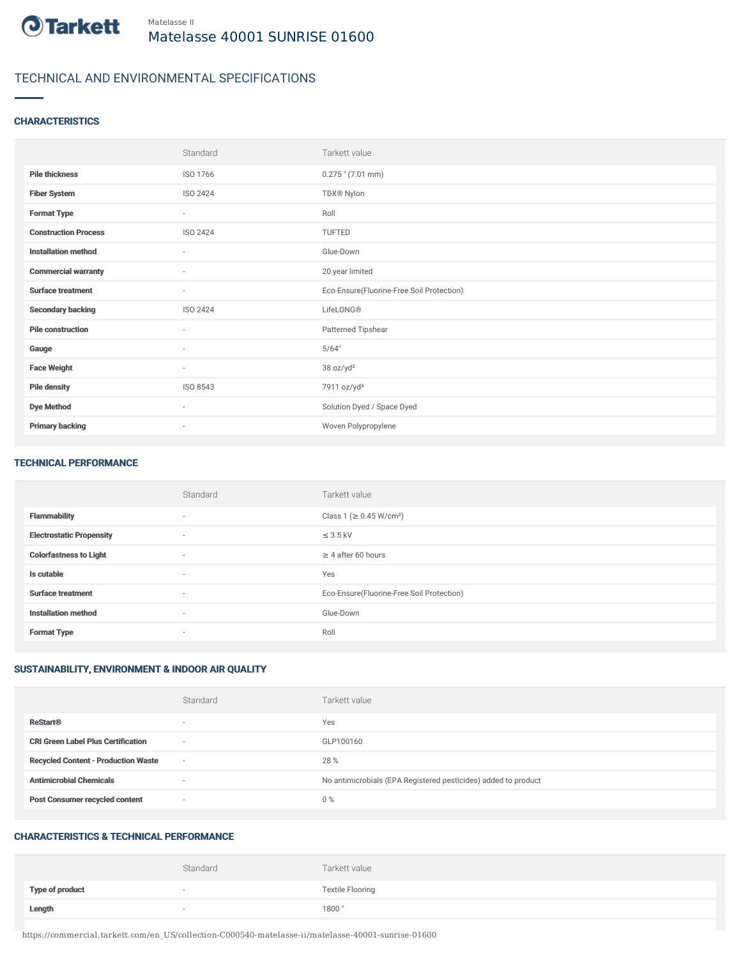

# TECHNICAL AND ENVIRONMENTAL SPECIFICATIONS

### **CHARACTERISTICS**

|                             | Standard                 | Tarkett value                             |
|-----------------------------|--------------------------|-------------------------------------------|
| <b>Pile thickness</b>       | ISO 1766                 | $0.275$ " (7.01 mm)                       |
| <b>Fiber System</b>         | ISO 2424                 | TDX® Nylon                                |
| <b>Format Type</b>          | $\sim$                   | Roll                                      |
| <b>Construction Process</b> | ISO 2424                 | TUFTED                                    |
| <b>Installation method</b>  | $\sim$                   | Glue-Down                                 |
| <b>Commercial warranty</b>  | $\overline{\phantom{a}}$ | 20 year limited                           |
| <b>Surface treatment</b>    | $\sim$                   | Eco-Ensure(Fluorine-Free Soil Protection) |
| <b>Secondary backing</b>    | ISO 2424                 | LifeLONG®                                 |
| <b>Pile construction</b>    | ٠                        | Patterned Tipshear                        |
| Gauge                       | $\sim$                   | 5/64"                                     |
| <b>Face Weight</b>          | $\sim$                   | 38 oz/yd <sup>2</sup>                     |
| <b>Pile density</b>         | ISO 8543                 | 7911 oz/yd <sup>3</sup>                   |
| <b>Dye Method</b>           | $\overline{\phantom{a}}$ | Solution Dyed / Space Dyed                |
| <b>Primary backing</b>      | $\overline{\phantom{a}}$ | Woven Polypropylene                       |

#### TECHNICAL PERFORMANCE

|                                 | Standard                 | Tarkett value                             |
|---------------------------------|--------------------------|-------------------------------------------|
| <b>Flammability</b>             | $\sim$                   | Class 1 (≥ 0.45 W/cm <sup>2</sup> )       |
| <b>Electrostatic Propensity</b> | $\overline{\phantom{a}}$ | $\leq$ 3.5 kV                             |
| <b>Colorfastness to Light</b>   | $\sim$                   | $\geq$ 4 after 60 hours                   |
| Is cutable                      | $\sim$                   | Yes                                       |
| <b>Surface treatment</b>        | $\sim$                   | Eco-Ensure(Fluorine-Free Soil Protection) |
| <b>Installation method</b>      | $\sim$                   | Glue-Down                                 |
| <b>Format Type</b>              | $\overline{\phantom{a}}$ | Roll                                      |

## SUSTAINABILITY, ENVIRONMENT & INDOOR AIR QUALITY

|                                            | Standard                 | Tarkett value                                                  |
|--------------------------------------------|--------------------------|----------------------------------------------------------------|
| <b>ReStart®</b>                            | $\overline{\phantom{a}}$ | Yes                                                            |
| <b>CRI Green Label Plus Certification</b>  | $\overline{\phantom{a}}$ | GLP100160                                                      |
| <b>Recycled Content - Production Waste</b> | $\sim$                   | 28 %                                                           |
| <b>Antimicrobial Chemicals</b>             | $\overline{\phantom{a}}$ | No antimicrobials (EPA Registered pesticides) added to product |
| <b>Post Consumer recycled content</b>      | $\overline{\phantom{a}}$ | $0\%$                                                          |

#### CHARACTERISTICS & TECHNICAL PERFORMANCE

|                        | Standard                 | Tarkett value           |
|------------------------|--------------------------|-------------------------|
| <b>Type of product</b> | $\overline{\phantom{a}}$ | <b>Textile Flooring</b> |
| Length                 |                          | 1800"                   |

https://commercial.tarkett.com/en\_US/collection-C000540-matelasse-ii/matelasse-40001-sunrise-01600